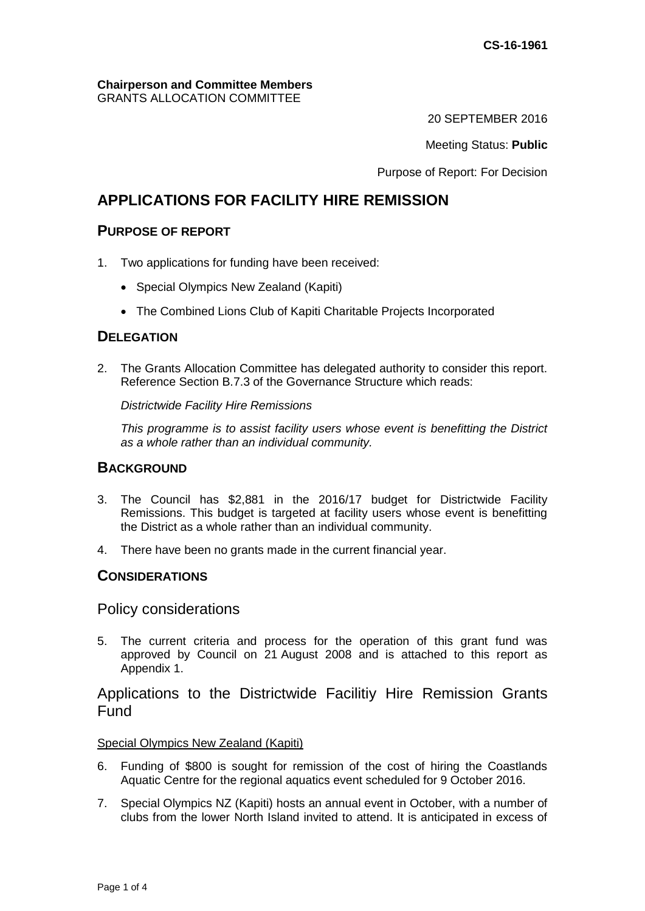#### **Chairperson and Committee Members** GRANTS ALLOCATION COMMITTEE

20 SEPTEMBER 2016

Meeting Status: **Public**

Purpose of Report: For Decision

# **APPLICATIONS FOR FACILITY HIRE REMISSION**

## **PURPOSE OF REPORT**

- 1. Two applications for funding have been received:
	- Special Olympics New Zealand (Kapiti)
	- The Combined Lions Club of Kapiti Charitable Projects Incorporated

## **DELEGATION**

2. The Grants Allocation Committee has delegated authority to consider this report. Reference Section B.7.3 of the Governance Structure which reads:

*Districtwide Facility Hire Remissions*

*This programme is to assist facility users whose event is benefitting the District as a whole rather than an individual community.* 

## **BACKGROUND**

- 3. The Council has \$2,881 in the 2016/17 budget for Districtwide Facility Remissions. This budget is targeted at facility users whose event is benefitting the District as a whole rather than an individual community.
- 4. There have been no grants made in the current financial year.

## **CONSIDERATIONS**

Policy considerations

5. The current criteria and process for the operation of this grant fund was approved by Council on 21 August 2008 and is attached to this report as Appendix 1.

## Applications to the Districtwide Facilitiy Hire Remission Grants Fund

#### Special Olympics New Zealand (Kapiti)

- 6. Funding of \$800 is sought for remission of the cost of hiring the Coastlands Aquatic Centre for the regional aquatics event scheduled for 9 October 2016.
- 7. Special Olympics NZ (Kapiti) hosts an annual event in October, with a number of clubs from the lower North Island invited to attend. It is anticipated in excess of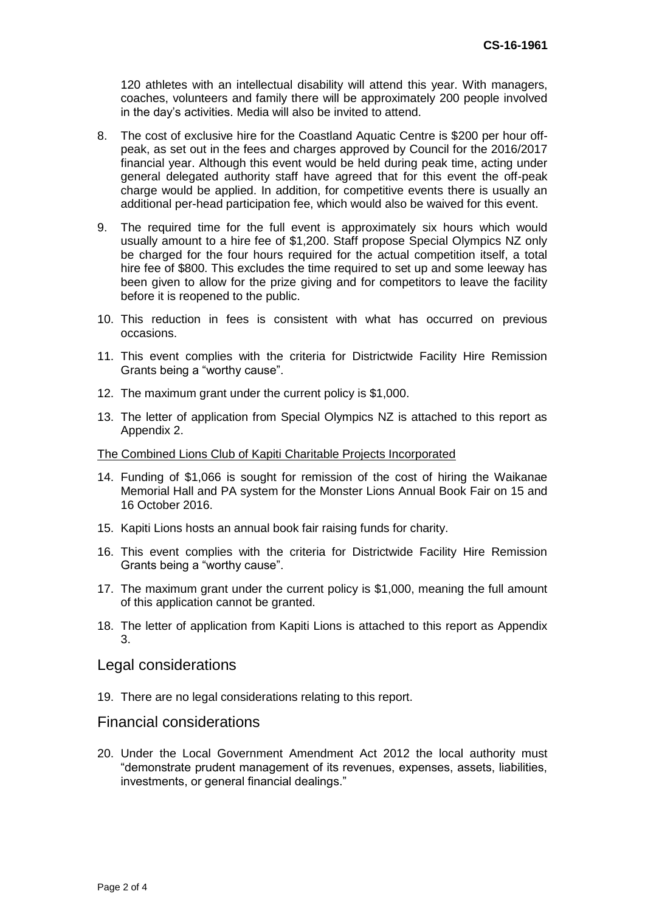120 athletes with an intellectual disability will attend this year. With managers, coaches, volunteers and family there will be approximately 200 people involved in the day's activities. Media will also be invited to attend.

- 8. The cost of exclusive hire for the Coastland Aquatic Centre is \$200 per hour offpeak, as set out in the fees and charges approved by Council for the 2016/2017 financial year. Although this event would be held during peak time, acting under general delegated authority staff have agreed that for this event the off-peak charge would be applied. In addition, for competitive events there is usually an additional per-head participation fee, which would also be waived for this event.
- 9. The required time for the full event is approximately six hours which would usually amount to a hire fee of \$1,200. Staff propose Special Olympics NZ only be charged for the four hours required for the actual competition itself, a total hire fee of \$800. This excludes the time required to set up and some leeway has been given to allow for the prize giving and for competitors to leave the facility before it is reopened to the public.
- 10. This reduction in fees is consistent with what has occurred on previous occasions.
- 11. This event complies with the criteria for Districtwide Facility Hire Remission Grants being a "worthy cause".
- 12. The maximum grant under the current policy is \$1,000.
- 13. The letter of application from Special Olympics NZ is attached to this report as Appendix 2.

#### The Combined Lions Club of Kapiti Charitable Projects Incorporated

- 14. Funding of \$1,066 is sought for remission of the cost of hiring the Waikanae Memorial Hall and PA system for the Monster Lions Annual Book Fair on 15 and 16 October 2016.
- 15. Kapiti Lions hosts an annual book fair raising funds for charity.
- 16. This event complies with the criteria for Districtwide Facility Hire Remission Grants being a "worthy cause".
- 17. The maximum grant under the current policy is \$1,000, meaning the full amount of this application cannot be granted.
- 18. The letter of application from Kapiti Lions is attached to this report as Appendix 3.

#### Legal considerations

19. There are no legal considerations relating to this report.

#### Financial considerations

20. Under the Local Government Amendment Act 2012 the local authority must "demonstrate prudent management of its revenues, expenses, assets, liabilities, investments, or general financial dealings."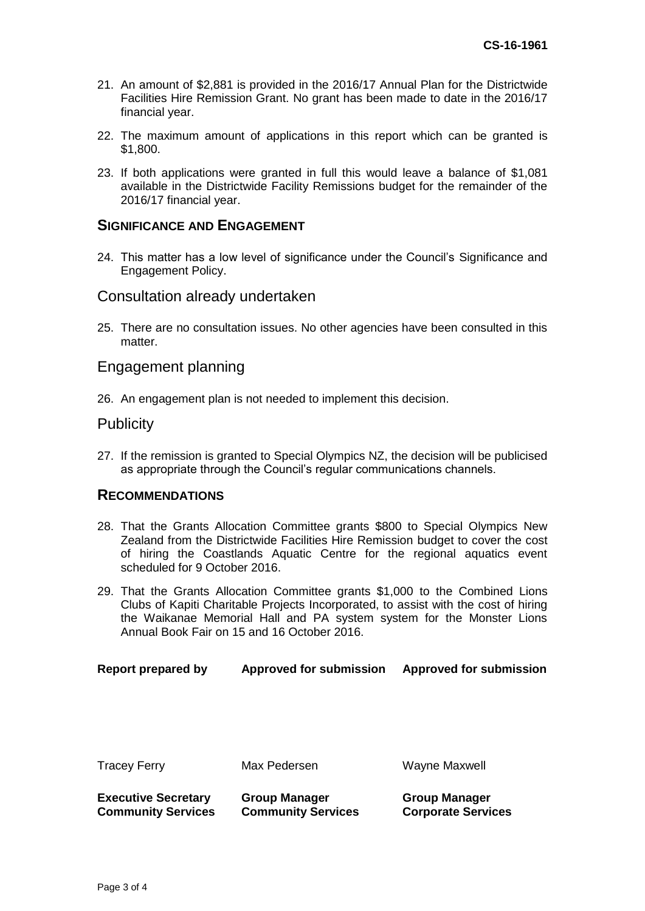- 21. An amount of \$2,881 is provided in the 2016/17 Annual Plan for the Districtwide Facilities Hire Remission Grant. No grant has been made to date in the 2016/17 financial year.
- 22. The maximum amount of applications in this report which can be granted is \$1,800.
- 23. If both applications were granted in full this would leave a balance of \$1,081 available in the Districtwide Facility Remissions budget for the remainder of the 2016/17 financial year.

#### **SIGNIFICANCE AND ENGAGEMENT**

24. This matter has a low level of significance under the Council's Significance and Engagement Policy.

#### Consultation already undertaken

25. There are no consultation issues. No other agencies have been consulted in this matter.

#### Engagement planning

26. An engagement plan is not needed to implement this decision.

#### **Publicity**

27. If the remission is granted to Special Olympics NZ, the decision will be publicised as appropriate through the Council's regular communications channels.

#### **RECOMMENDATIONS**

- 28. That the Grants Allocation Committee grants \$800 to Special Olympics New Zealand from the Districtwide Facilities Hire Remission budget to cover the cost of hiring the Coastlands Aquatic Centre for the regional aquatics event scheduled for 9 October 2016.
- 29. That the Grants Allocation Committee grants \$1,000 to the Combined Lions Clubs of Kapiti Charitable Projects Incorporated, to assist with the cost of hiring the Waikanae Memorial Hall and PA system system for the Monster Lions Annual Book Fair on 15 and 16 October 2016.

| Report prepared by | <b>Approved for submission</b> | <b>Approved for submission</b> |
|--------------------|--------------------------------|--------------------------------|
|--------------------|--------------------------------|--------------------------------|

| I racev Ferrv |
|---------------|
|---------------|

**Group Manager Community Services**

**Executive Secretary Community Services** 

ey Ferry **Max Pedersen** Maxme Maxwell

**Group Manager Corporate Services**